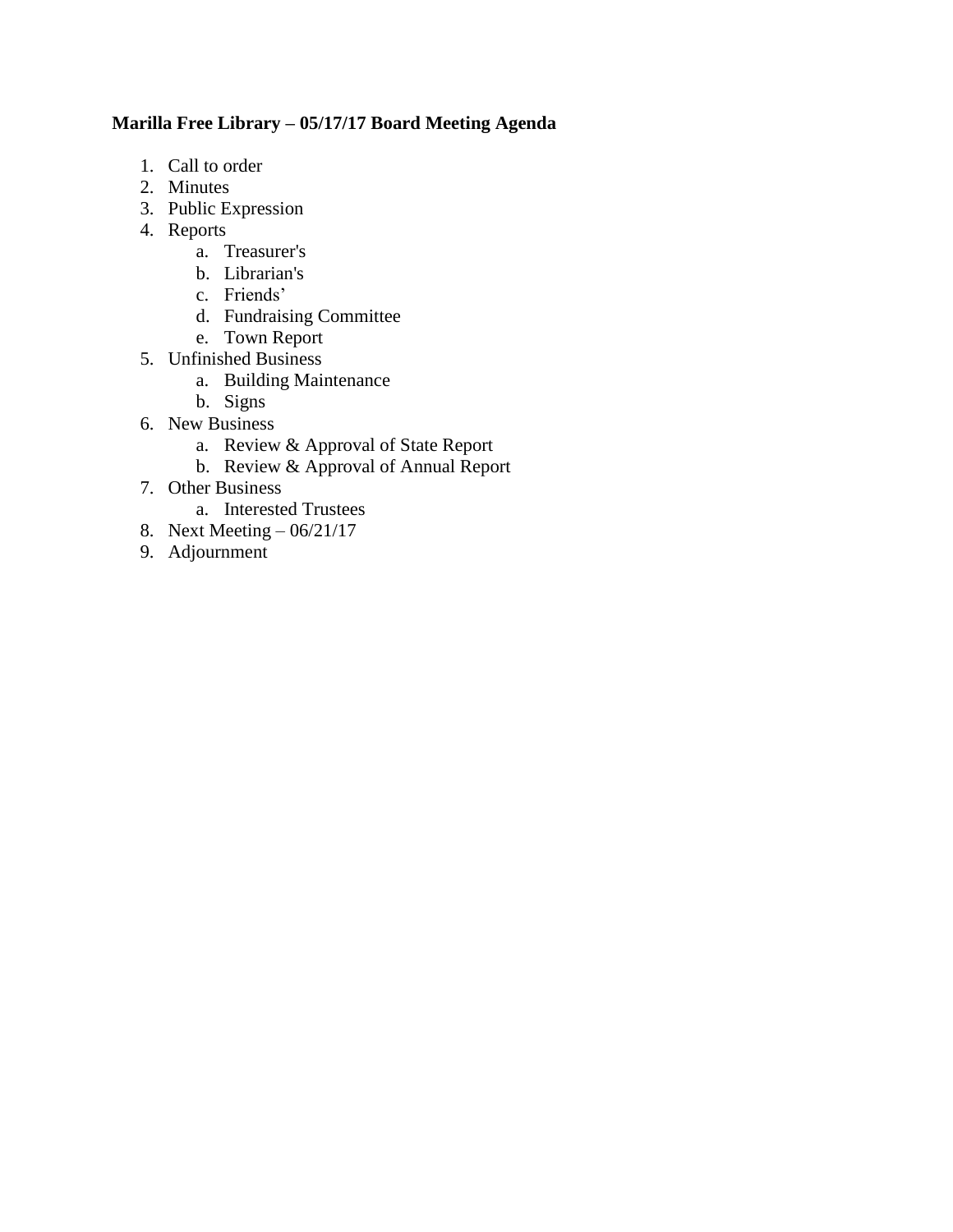# **Marilla Free Library – 05/17/17 Board Meeting Agenda**

- 1. Call to order
- 2. Minutes
- 3. Public Expression
- 4. Reports
	- a. Treasurer's
	- b. Librarian's
	- c. Friends'
	- d. Fundraising Committee
	- e. Town Report
- 5. Unfinished Business
	- a. Building Maintenance
	- b. Signs
- 6. New Business
	- a. Review & Approval of State Report
	- b. Review & Approval of Annual Report
- 7. Other Business
	- a. Interested Trustees
- 8. Next Meeting 06/21/17
- 9. Adjournment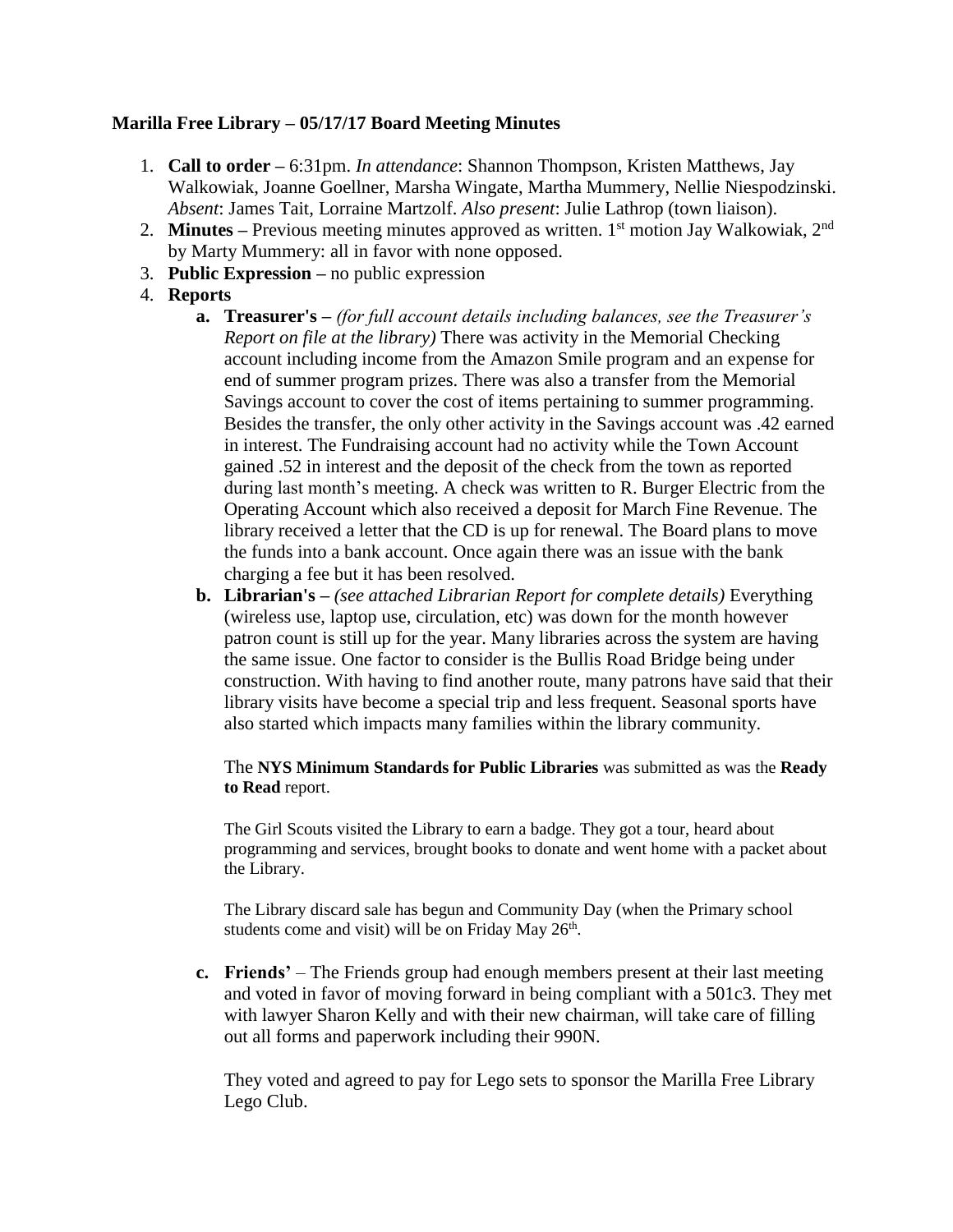# **Marilla Free Library – 05/17/17 Board Meeting Minutes**

- 1. **Call to order –** 6:31pm. *In attendance*: Shannon Thompson, Kristen Matthews, Jay Walkowiak, Joanne Goellner, Marsha Wingate, Martha Mummery, Nellie Niespodzinski. *Absent*: James Tait*,* Lorraine Martzolf. *Also present*: Julie Lathrop (town liaison).
- 2. **Minutes** Previous meeting minutes approved as written. 1<sup>st</sup> motion Jay Walkowiak, 2<sup>nd</sup> by Marty Mummery: all in favor with none opposed.
- 3. **Public Expression –** no public expression
- 4. **Reports**
	- **a. Treasurer's –** *(for full account details including balances, see the Treasurer's Report on file at the library)* There was activity in the Memorial Checking account including income from the Amazon Smile program and an expense for end of summer program prizes. There was also a transfer from the Memorial Savings account to cover the cost of items pertaining to summer programming. Besides the transfer, the only other activity in the Savings account was .42 earned in interest. The Fundraising account had no activity while the Town Account gained .52 in interest and the deposit of the check from the town as reported during last month's meeting. A check was written to R. Burger Electric from the Operating Account which also received a deposit for March Fine Revenue. The library received a letter that the CD is up for renewal. The Board plans to move the funds into a bank account. Once again there was an issue with the bank charging a fee but it has been resolved.
	- **b. Librarian's –** *(see attached Librarian Report for complete details)* Everything (wireless use, laptop use, circulation, etc) was down for the month however patron count is still up for the year. Many libraries across the system are having the same issue. One factor to consider is the Bullis Road Bridge being under construction. With having to find another route, many patrons have said that their library visits have become a special trip and less frequent. Seasonal sports have also started which impacts many families within the library community.

### The **NYS Minimum Standards for Public Libraries** was submitted as was the **Ready to Read** report.

The Girl Scouts visited the Library to earn a badge. They got a tour, heard about programming and services, brought books to donate and went home with a packet about the Library.

The Library discard sale has begun and Community Day (when the Primary school students come and visit) will be on Friday May 26<sup>th</sup>.

**c. Friends'** – The Friends group had enough members present at their last meeting and voted in favor of moving forward in being compliant with a 501c3. They met with lawyer Sharon Kelly and with their new chairman, will take care of filling out all forms and paperwork including their 990N.

They voted and agreed to pay for Lego sets to sponsor the Marilla Free Library Lego Club.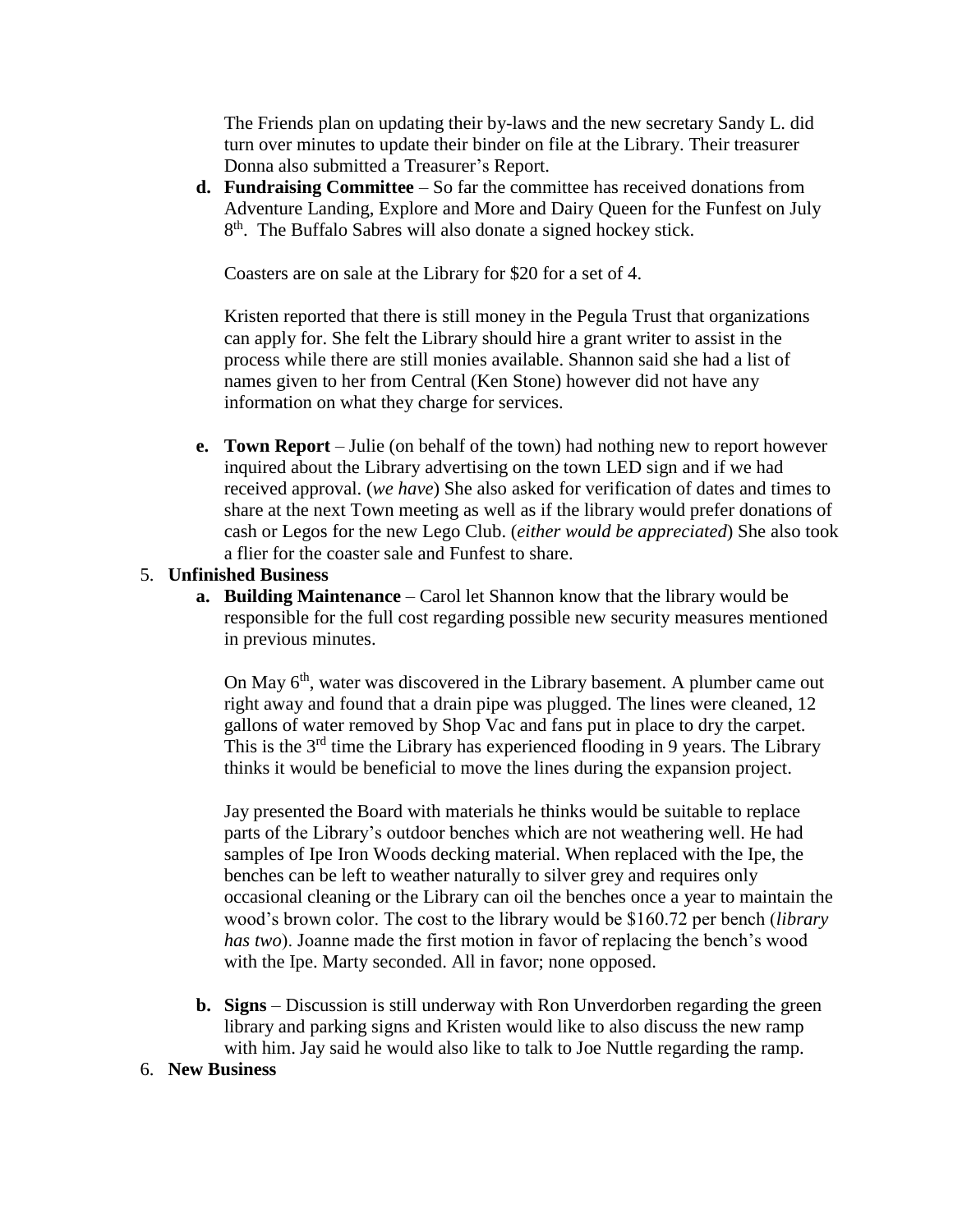The Friends plan on updating their by-laws and the new secretary Sandy L. did turn over minutes to update their binder on file at the Library. Their treasurer Donna also submitted a Treasurer's Report.

**d. Fundraising Committee** – So far the committee has received donations from Adventure Landing, Explore and More and Dairy Queen for the Funfest on July 8<sup>th</sup>. The Buffalo Sabres will also donate a signed hockey stick.

Coasters are on sale at the Library for \$20 for a set of 4.

Kristen reported that there is still money in the Pegula Trust that organizations can apply for. She felt the Library should hire a grant writer to assist in the process while there are still monies available. Shannon said she had a list of names given to her from Central (Ken Stone) however did not have any information on what they charge for services.

**e. Town Report** – Julie (on behalf of the town) had nothing new to report however inquired about the Library advertising on the town LED sign and if we had received approval. (*we have*) She also asked for verification of dates and times to share at the next Town meeting as well as if the library would prefer donations of cash or Legos for the new Lego Club. (*either would be appreciated*) She also took a flier for the coaster sale and Funfest to share.

# 5. **Unfinished Business**

**a. Building Maintenance** – Carol let Shannon know that the library would be responsible for the full cost regarding possible new security measures mentioned in previous minutes.

On May 6<sup>th</sup>, water was discovered in the Library basement. A plumber came out right away and found that a drain pipe was plugged. The lines were cleaned, 12 gallons of water removed by Shop Vac and fans put in place to dry the carpet. This is the  $3<sup>rd</sup>$  time the Library has experienced flooding in 9 years. The Library thinks it would be beneficial to move the lines during the expansion project.

Jay presented the Board with materials he thinks would be suitable to replace parts of the Library's outdoor benches which are not weathering well. He had samples of Ipe Iron Woods decking material. When replaced with the Ipe, the benches can be left to weather naturally to silver grey and requires only occasional cleaning or the Library can oil the benches once a year to maintain the wood's brown color. The cost to the library would be \$160.72 per bench (*library has two*). Joanne made the first motion in favor of replacing the bench's wood with the Ipe. Marty seconded. All in favor; none opposed.

**b. Signs** – Discussion is still underway with Ron Unverdorben regarding the green library and parking signs and Kristen would like to also discuss the new ramp with him. Jay said he would also like to talk to Joe Nuttle regarding the ramp.

## 6. **New Business**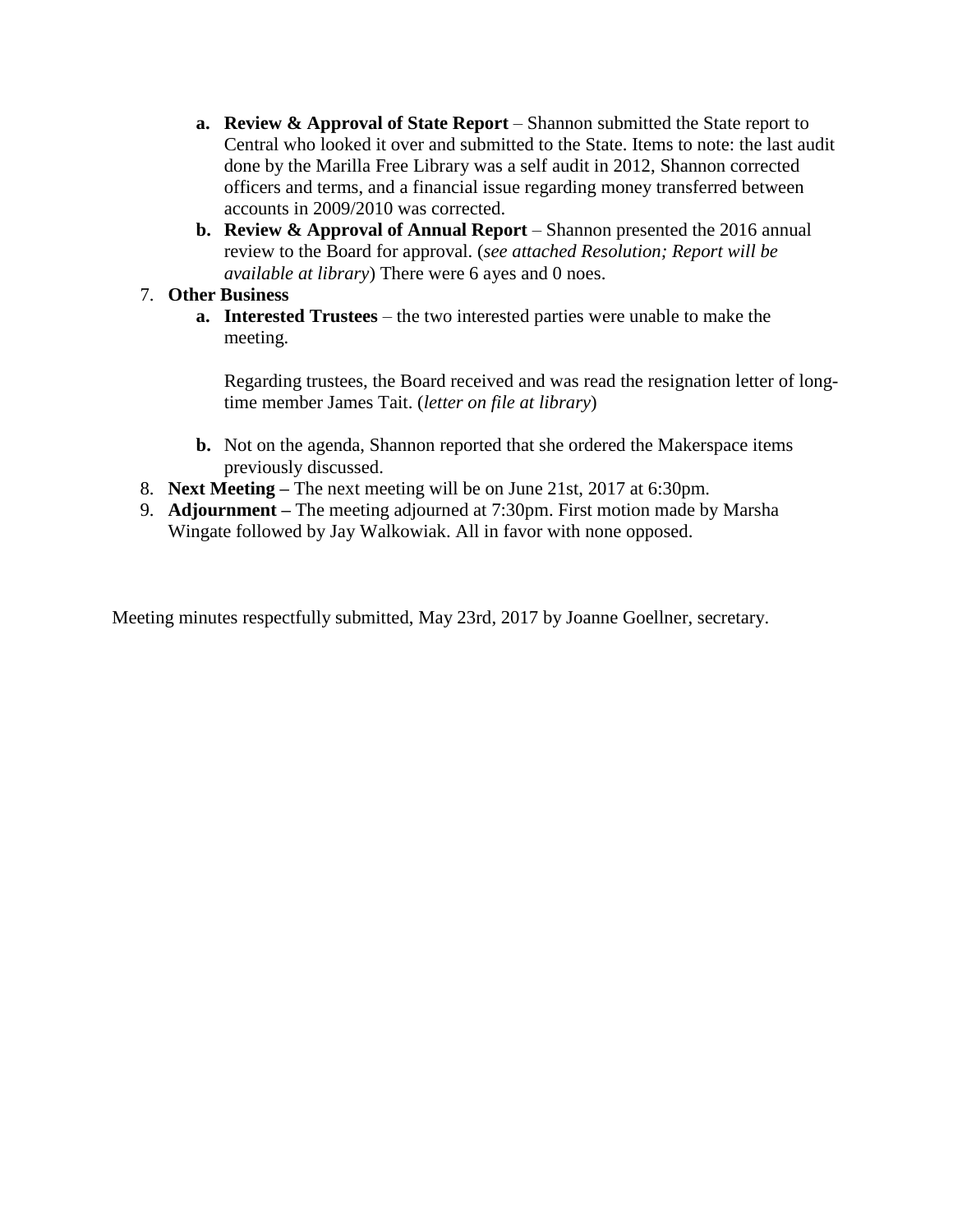- **a. Review & Approval of State Report** Shannon submitted the State report to Central who looked it over and submitted to the State. Items to note: the last audit done by the Marilla Free Library was a self audit in 2012, Shannon corrected officers and terms, and a financial issue regarding money transferred between accounts in 2009/2010 was corrected.
- **b. Review & Approval of Annual Report** Shannon presented the 2016 annual review to the Board for approval. (*see attached Resolution; Report will be available at library*) There were 6 ayes and 0 noes.

## 7. **Other Business**

**a. Interested Trustees** – the two interested parties were unable to make the meeting.

Regarding trustees, the Board received and was read the resignation letter of longtime member James Tait. (*letter on file at library*)

- **b.** Not on the agenda, Shannon reported that she ordered the Makerspace items previously discussed.
- 8. **Next Meeting –** The next meeting will be on June 21st, 2017 at 6:30pm.
- 9. **Adjournment –** The meeting adjourned at 7:30pm. First motion made by Marsha Wingate followed by Jay Walkowiak. All in favor with none opposed.

Meeting minutes respectfully submitted, May 23rd, 2017 by Joanne Goellner, secretary.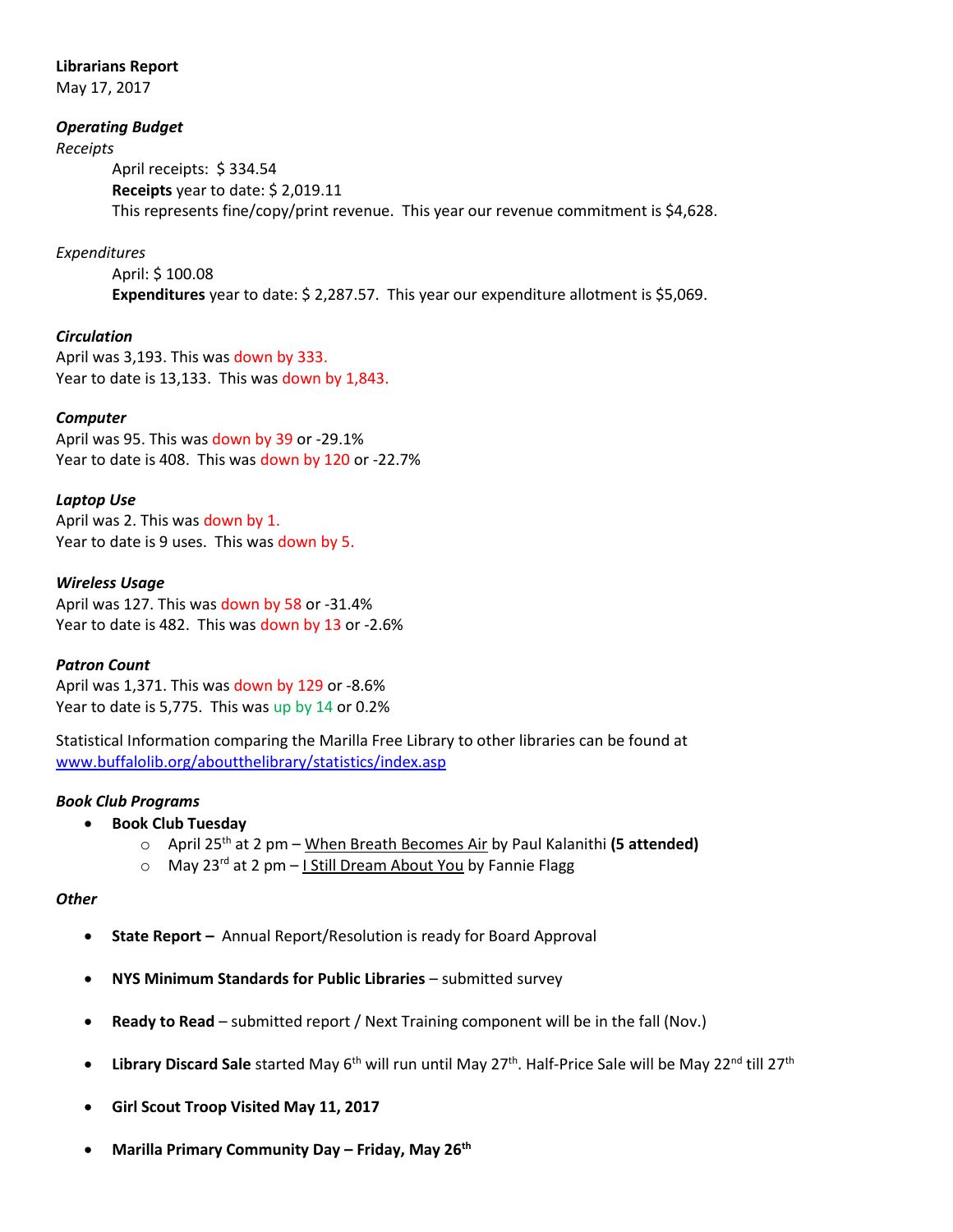### **Librarians Report**

May 17, 2017

### *Operating Budget*

#### *Receipts*

April receipts: \$ 334.54 **Receipts** year to date: \$ 2,019.11 This represents fine/copy/print revenue. This year our revenue commitment is \$4,628.

## *Expenditures*

April: \$ 100.08 **Expenditures** year to date: \$ 2,287.57. This year our expenditure allotment is \$5,069.

## *Circulation*

April was 3,193. This was down by 333. Year to date is 13,133. This was down by 1,843.

### *Computer*

April was 95. This was down by 39 or -29.1% Year to date is 408. This was down by 120 or -22.7%

### *Laptop Use*

April was 2. This was down by 1. Year to date is 9 uses. This was down by 5.

### *Wireless Usage*

April was 127. This was down by 58 or -31.4% Year to date is 482. This was down by 13 or -2.6%

## *Patron Count*

April was 1,371. This was down by 129 or -8.6% Year to date is 5,775. This was up by 14 or 0.2%

Statistical Information comparing the Marilla Free Library to other libraries can be found at [www.buffalolib.org/aboutthelibrary/statistics/index.asp](http://www.buffalolib.org/aboutthelibrary/statistics/index.asp)

#### *Book Club Programs*

- **Book Club Tuesday**
	- o April 25th at 2 pm When Breath Becomes Air by Paul Kalanithi **(5 attended)**
	- $\circ$  May 23<sup>rd</sup> at 2 pm I Still Dream About You by Fannie Flagg

#### *Other*

- **State Report –** Annual Report/Resolution is ready for Board Approval
- **NYS Minimum Standards for Public Libraries** submitted survey
- **Ready to Read**  submitted report / Next Training component will be in the fall (Nov.)
- Library Discard Sale started May 6<sup>th</sup> will run until May 27<sup>th</sup>. Half-Price Sale will be May 22<sup>nd</sup> till 27<sup>th</sup>
- **Girl Scout Troop Visited May 11, 2017**
- **Marilla Primary Community Day – Friday, May 26th**